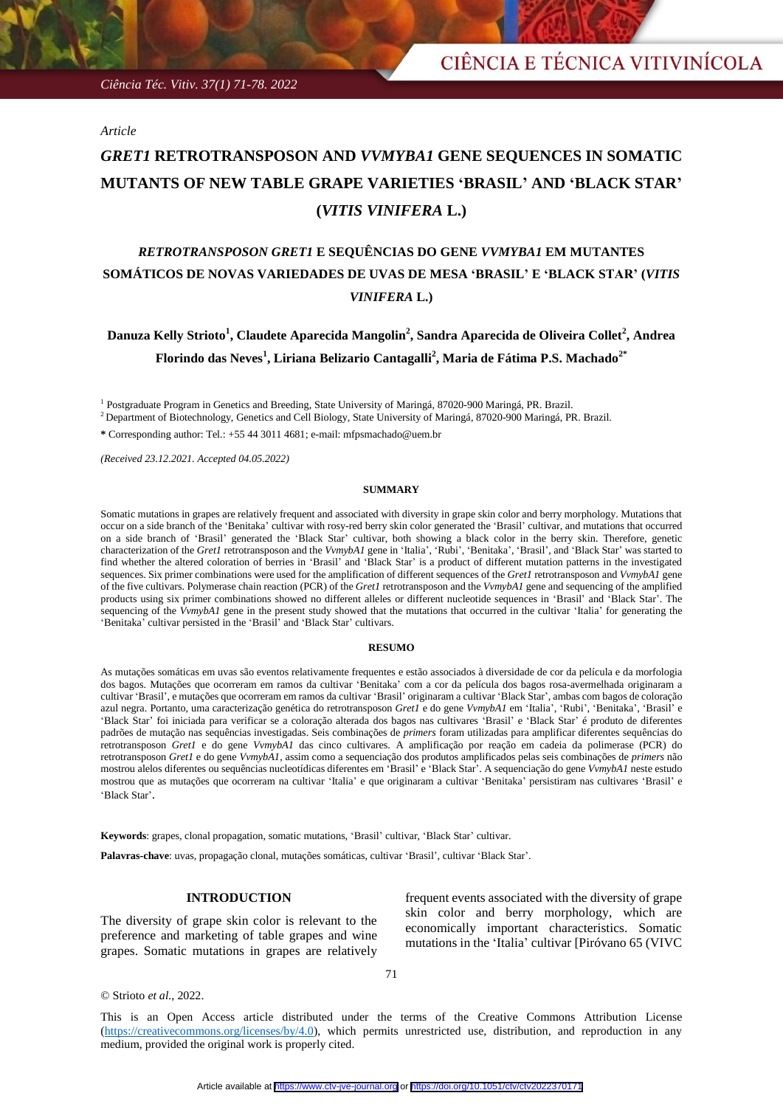*Ciência Téc. Vitiv. 37(1) 71-78. 2022*

*Article*

# *GRET1* **RETROTRANSPOSON AND** *VVMYBA1* **GENE SEQUENCES IN SOMATIC MUTANTS OF NEW TABLE GRAPE VARIETIES 'BRASIL' AND 'BLACK STAR' (***VITIS VINIFERA* **L.)**

## *RETROTRANSPOSON GRET1* **E SEQUÊNCIAS DO GENE** *VVMYBA1* **EM MUTANTES SOMÁTICOS DE NOVAS VARIEDADES DE UVAS DE MESA 'BRASIL' E 'BLACK STAR' (***VITIS VINIFERA* **L.)**

## **Danuza Kelly Strioto<sup>1</sup> , Claudete Aparecida Mangolin<sup>2</sup> , Sandra Aparecida de Oliveira Collet<sup>2</sup> , Andrea Florindo das Neves<sup>1</sup> , Liriana Belizario Cantagalli<sup>2</sup> , Maria de Fátima P.S. Machado2\***

<sup>1</sup> Postgraduate Program in Genetics and Breeding, State University of Maringá, 87020-900 Maringá, PR. Brazil.

<sup>2</sup> Department of Biotechnology, Genetics and Cell Biology, State University of Maringá, 87020-900 Maringá, PR. Brazil.

**\*** Corresponding author: Tel.: +55 44 3011 4681; e-mail: mfpsmachado@uem.br

*(Received 23.12.2021. Accepted 04.05.2022)*

### **SUMMARY**

Somatic mutations in grapes are relatively frequent and associated with diversity in grape skin color and berry morphology. Mutations that occur on a side branch of the 'Benitaka' cultivar with rosy-red berry skin color generated the 'Brasil' cultivar, and mutations that occurred on a side branch of 'Brasil' generated the 'Black Star' cultivar, both showing a black color in the berry skin. Therefore, genetic characterization of the *Gret1* retrotransposon and the *VvmybA1* gene in 'Italia', 'Rubi', 'Benitaka', 'Brasil', and 'Black Star' was started to find whether the altered coloration of berries in 'Brasil' and 'Black Star' is a product of different mutation patterns in the investigated sequences. Six primer combinations were used for the amplification of different sequences of the *Gret1* retrotransposon and *VvmybA1* gene of the five cultivars. Polymerase chain reaction (PCR) of the *Gret1* retrotransposon and the *VvmybA1* gene and sequencing of the amplified products using six primer combinations showed no different alleles or different nucleotide sequences in 'Brasil' and 'Black Star'. The sequencing of the *VvmybA1* gene in the present study showed that the mutations that occurred in the cultivar 'Italia' for generating the 'Benitaka' cultivar persisted in the 'Brasil' and 'Black Star' cultivars.

#### **RESUMO**

As mutações somáticas em uvas são eventos relativamente frequentes e estão associados à diversidade de cor da película e da morfologia dos bagos. Mutações que ocorreram em ramos da cultivar 'Benitaka' com a cor da película dos bagos rosa-avermelhada originaram a cultivar 'Brasil', e mutações que ocorreram em ramos da cultivar 'Brasil' originaram a cultivar 'Black Star', ambas com bagos de coloração azul negra. Portanto, uma caracterização genética do retrotransposon *Gret1* e do gene *VvmybA1* em 'Italia', 'Rubi', 'Benitaka', 'Brasil' e 'Black Star' foi iniciada para verificar se a coloração alterada dos bagos nas cultivares 'Brasil' e 'Black Star' é produto de diferentes padrões de mutação nas sequências investigadas. Seis combinações de *primers* foram utilizadas para amplificar diferentes sequências do retrotransposon *Gret1* e do gene *VvmybA1* das cinco cultivares. A amplificação por reação em cadeia da polimerase (PCR) do retrotransposon *Gret1* e do gene *VvmybA1*, assim como a sequenciação dos produtos amplificados pelas seis combinações de *primers* não mostrou alelos diferentes ou sequências nucleotídicas diferentes em 'Brasil' e 'Black Star'. A sequenciação do gene *VvmybA1* neste estudo mostrou que as mutações que ocorreram na cultivar 'Italia' e que originaram a cultivar 'Benitaka' persistiram nas cultivares 'Brasil' e 'Black Star'.

**Keywords**: grapes, clonal propagation, somatic mutations, 'Brasil' cultivar, 'Black Star' cultivar.

**Palavras-chave**: uvas, propagação clonal, mutações somáticas, cultivar 'Brasil', cultivar 'Black Star'.

## **INTRODUCTION**

The diversity of grape skin color is relevant to the preference and marketing of table grapes and wine grapes. Somatic mutations in grapes are relatively frequent events associated with the diversity of grape skin color and berry morphology, which are economically important characteristics. Somatic mutations in the 'Italia' cultivar [Piróvano 65 (VIVC

71

© Strioto *et al.*, 2022.

This is an Open Access article distributed under the terms of the Creative Commons Attribution License (https://creativecommons.org/licenses/by/4.0), which permits unrestricted use, distribution, and reproduction in any medium, provided the original work is properly cited.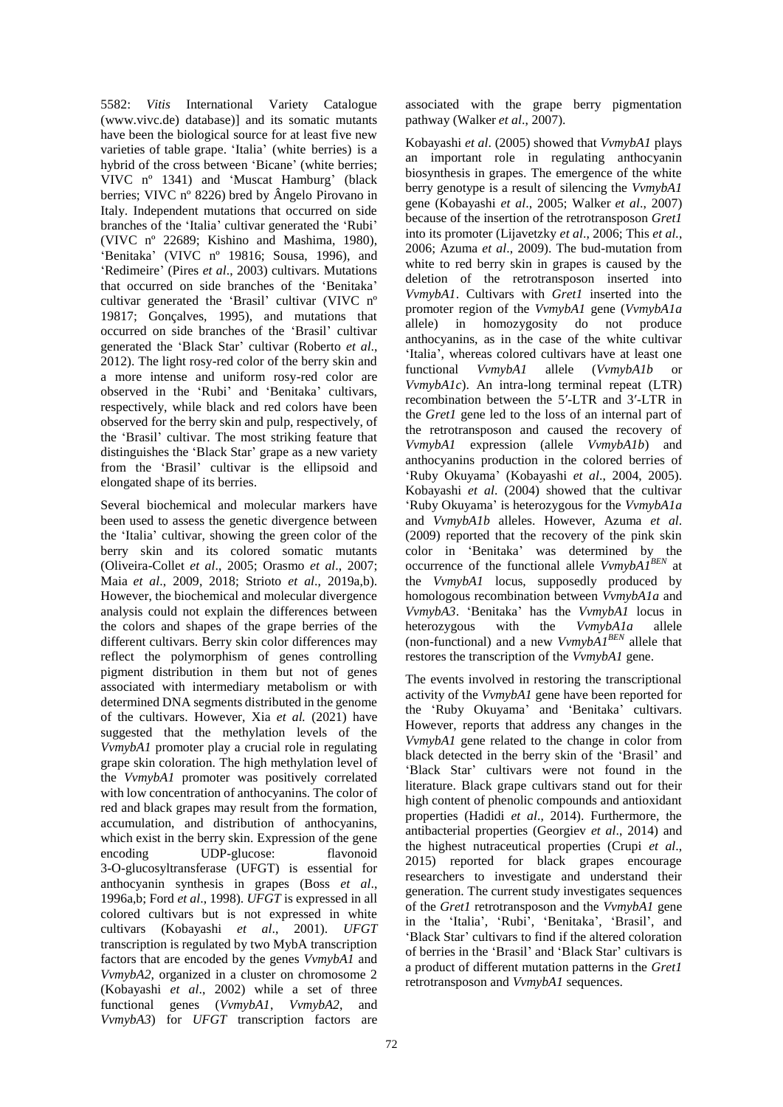5582: *Vitis* International Variety Catalogue (www.vivc.de) database)] and its somatic mutants have been the biological source for at least five new varieties of table grape. 'Italia' (white berries) is a hybrid of the cross between 'Bicane' (white berries; VIVC nº 1341) and 'Muscat Hamburg' (black berries; VIVC nº 8226) bred by Ângelo Pirovano in Italy. Independent mutations that occurred on side branches of the 'Italia' cultivar generated the 'Rubi' (VIVC nº 22689; Kishino and Mashima, 1980), 'Benitaka' (VIVC nº 19816; Sousa, 1996), and 'Redimeire' (Pires *et al*., 2003) cultivars. Mutations that occurred on side branches of the 'Benitaka' cultivar generated the 'Brasil' cultivar (VIVC nº 19817; Gonçalves, 1995), and mutations that occurred on side branches of the 'Brasil' cultivar generated the 'Black Star' cultivar (Roberto *et al*., 2012). The light rosy-red color of the berry skin and a more intense and uniform rosy-red color are observed in the 'Rubi' and 'Benitaka' cultivars, respectively, while black and red colors have been observed for the berry skin and pulp, respectively, of the 'Brasil' cultivar. The most striking feature that distinguishes the 'Black Star' grape as a new variety from the 'Brasil' cultivar is the ellipsoid and elongated shape of its berries.

Several biochemical and molecular markers have been used to assess the genetic divergence between the 'Italia' cultivar, showing the green color of the berry skin and its colored somatic mutants (Oliveira-Collet *et al*., 2005; Orasmo *et al*., 2007; Maia *et al*., 2009, 2018; Strioto *et al*., 2019a,b). However, the biochemical and molecular divergence analysis could not explain the differences between the colors and shapes of the grape berries of the different cultivars. Berry skin color differences may reflect the polymorphism of genes controlling pigment distribution in them but not of genes associated with intermediary metabolism or with determined DNA segments distributed in the genome of the cultivars. However, Xia *et al.* (2021) have suggested that the methylation levels of the *VvmybA1* promoter play a crucial role in regulating grape skin coloration. The high methylation level of the *VvmybA1* promoter was positively correlated with low concentration of anthocyanins. The color of red and black grapes may result from the formation, accumulation, and distribution of anthocyanins, which exist in the berry skin. Expression of the gene encoding UDP-glucose: flavonoid 3-O-glucosyltransferase (UFGT) is essential for anthocyanin synthesis in grapes (Boss *et al*., 1996a,b; Ford *et al*., 1998). *UFGT* is expressed in all colored cultivars but is not expressed in white cultivars (Kobayashi *et al*., 2001). *UFGT* transcription is regulated by two MybA transcription factors that are encoded by the genes *VvmybA1* and *VvmybA2,* organized in a cluster on chromosome 2 (Kobayashi *et al*., 2002) while a set of three functional genes (*VvmybA1*, *VvmybA2*, and *VvmybA3*) for *UFGT* transcription factors are

associated with the grape berry pigmentation pathway (Walker *et al*., 2007).

Kobayashi *et al*. (2005) showed that *VvmybA1* plays an important role in regulating anthocyanin biosynthesis in grapes. The emergence of the white berry genotype is a result of silencing the *VvmybA1* gene (Kobayashi *et al*., 2005; Walker *et al*., 2007) because of the insertion of the retrotransposon *Gret1* into its promoter (Lijavetzky *et al*., 2006; This *et al.*, 2006; Azuma *et al*., 2009). The bud-mutation from white to red berry skin in grapes is caused by the deletion of the retrotransposon inserted into *VvmybA1*. Cultivars with *Gret1* inserted into the promoter region of the *VvmybA1* gene (*VvmybA1a* allele) in homozygosity do not produce anthocyanins, as in the case of the white cultivar 'Italia', whereas colored cultivars have at least one functional *VvmybA1* allele (*VvmybA1b* or *VvmybA1c*). An intra-long terminal repeat (LTR) recombination between the 5′-LTR and 3′-LTR in the *Gret1* gene led to the loss of an internal part of the retrotransposon and caused the recovery of *VvmybA1* expression (allele *VvmybA1b*) and anthocyanins production in the colored berries of 'Ruby Okuyama' (Kobayashi *et al*., 2004, 2005). Kobayashi *et al*. (2004) showed that the cultivar 'Ruby Okuyama' is heterozygous for the *VvmybA1a* and *VvmybA1b* alleles. However, Azuma *et al*. (2009) reported that the recovery of the pink skin color in 'Benitaka' was determined by the occurrence of the functional allele *VvmybA1BEN* at the *VvmybA1* locus, supposedly produced by homologous recombination between *VvmybA1a* and *VvmybA3*. 'Benitaka' has the *VvmybA1* locus in heterozygous with the *VvmybA1a* allele (non-functional) and a new *VvmybA1BEN* allele that restores the transcription of the *VvmybA1* gene.

The events involved in restoring the transcriptional activity of the *VvmybA1* gene have been reported for the 'Ruby Okuyama' and 'Benitaka' cultivars. However, reports that address any changes in the *VvmybA1* gene related to the change in color from black detected in the berry skin of the 'Brasil' and 'Black Star' cultivars were not found in the literature. Black grape cultivars stand out for their high content of phenolic compounds and antioxidant properties (Hadidi *et al*., 2014). Furthermore, the antibacterial properties (Georgiev *et al*., 2014) and the highest nutraceutical properties (Crupi *et al*., 2015) reported for black grapes encourage researchers to investigate and understand their generation. The current study investigates sequences of the *Gret1* retrotransposon and the *VvmybA1* gene in the 'Italia', 'Rubi', 'Benitaka', 'Brasil', and 'Black Star' cultivars to find if the altered coloration of berries in the 'Brasil' and 'Black Star' cultivars is a product of different mutation patterns in the *Gret1* retrotransposon and *VvmybA1* sequences.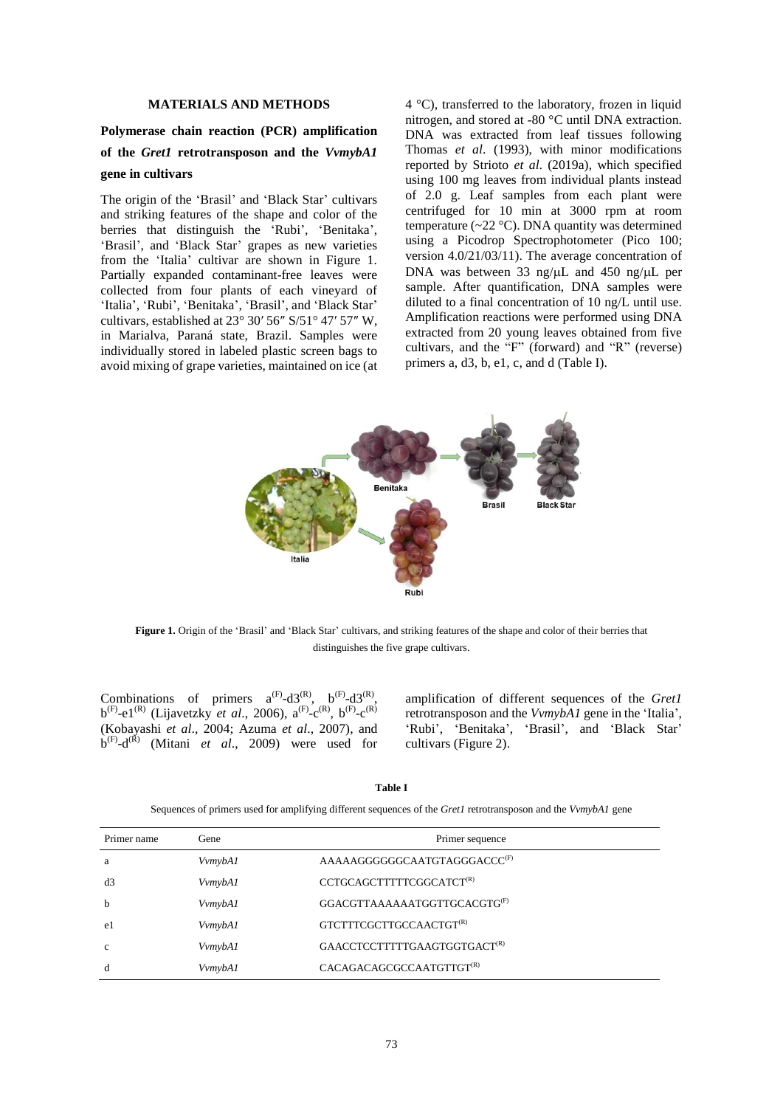## **MATERIALS AND METHODS**

## **Polymerase chain reaction (PCR) amplification of the** *Gret1* **retrotransposon and the** *VvmybA1* **gene in cultivars**

The origin of the 'Brasil' and 'Black Star' cultivars and striking features of the shape and color of the berries that distinguish the 'Rubi', 'Benitaka', 'Brasil', and 'Black Star' grapes as new varieties from the 'Italia' cultivar are shown in Figure 1. Partially expanded contaminant-free leaves were collected from four plants of each vineyard of 'Italia', 'Rubi', 'Benitaka', 'Brasil', and 'Black Star' cultivars, established at 23° 30′ 56″ S/51° 47′ 57″ W, in Marialva, Paraná state, Brazil. Samples were individually stored in labeled plastic screen bags to avoid mixing of grape varieties, maintained on ice (at 4 °C), transferred to the laboratory, frozen in liquid nitrogen, and stored at -80 °C until DNA extraction. DNA was extracted from leaf tissues following Thomas *et al*. (1993), with minor modifications reported by Strioto *et al*. (2019a), which specified using 100 mg leaves from individual plants instead of 2.0 g. Leaf samples from each plant were centrifuged for 10 min at 3000 rpm at room temperature ( $\sim$ 22 °C). DNA quantity was determined using a Picodrop Spectrophotometer (Pico 100; version 4.0/21/03/11). The average concentration of DNA was between 33 ng/uL and 450 ng/uL per sample. After quantification, DNA samples were diluted to a final concentration of 10 ng/L until use. Amplification reactions were performed using DNA extracted from 20 young leaves obtained from five cultivars, and the "F" (forward) and "R" (reverse) primers a, d3, b, e1, c, and d (Table I).



**Figure 1.** Origin of the 'Brasil' and 'Black Star' cultivars, and striking features of the shape and color of their berries that distinguishes the five grape cultivars.

Combinations of primers  $a^{(F)}-d3^{(R)}$ ,  $b^{(F)}-d3^{(R)}$ ,  $b^{(F)}$ -e1<sup>(R)</sup> (Lijavetzky *et al.*, 2006),  $a^{(F)}$ -c<sup>(R)</sup>,  $b^{(F)}$ -c<sup>(R)</sup> (Kobayashi *et al*., 2004; Azuma *et al*., 2007), and  $b^{(F)}$ -d<sup>(R)</sup> (Mitani *et al.*, 2009) were used for amplification of different sequences of the *Gret1* retrotransposon and the *VvmybA1* gene in the 'Italia', 'Rubi', 'Benitaka', 'Brasil', and 'Black Star' cultivars (Figure 2).

#### **Table I**

Sequences of primers used for amplifying different sequences of the *Gret1* retrotransposon and the *VvmybA1* gene

| Primer name  | Gene    | Primer sequence                          |
|--------------|---------|------------------------------------------|
| a            | VvmybA1 | AAAAAGGGGGCAATGTAGGGACCC <sup>(F)</sup>  |
| d3           | VvmybA1 | CCTGCAGCTTTTTCGGCATCT <sup>(R)</sup>     |
| $\mathbf b$  | VvmybA1 | GGACGTTAAAAAATGGTTGCACGTG <sup>(F)</sup> |
| e1           | VvmybA1 | GTCTTTCGCTTGCCAACTGT <sup>(R)</sup>      |
| $\mathbf{c}$ | VvmybA1 | GAACCTCCTTTTTGAAGTGGTGACT <sup>(R)</sup> |
| d            | VvmybA1 | CACAGACAGCGCCAATGTTGT <sup>(R)</sup>     |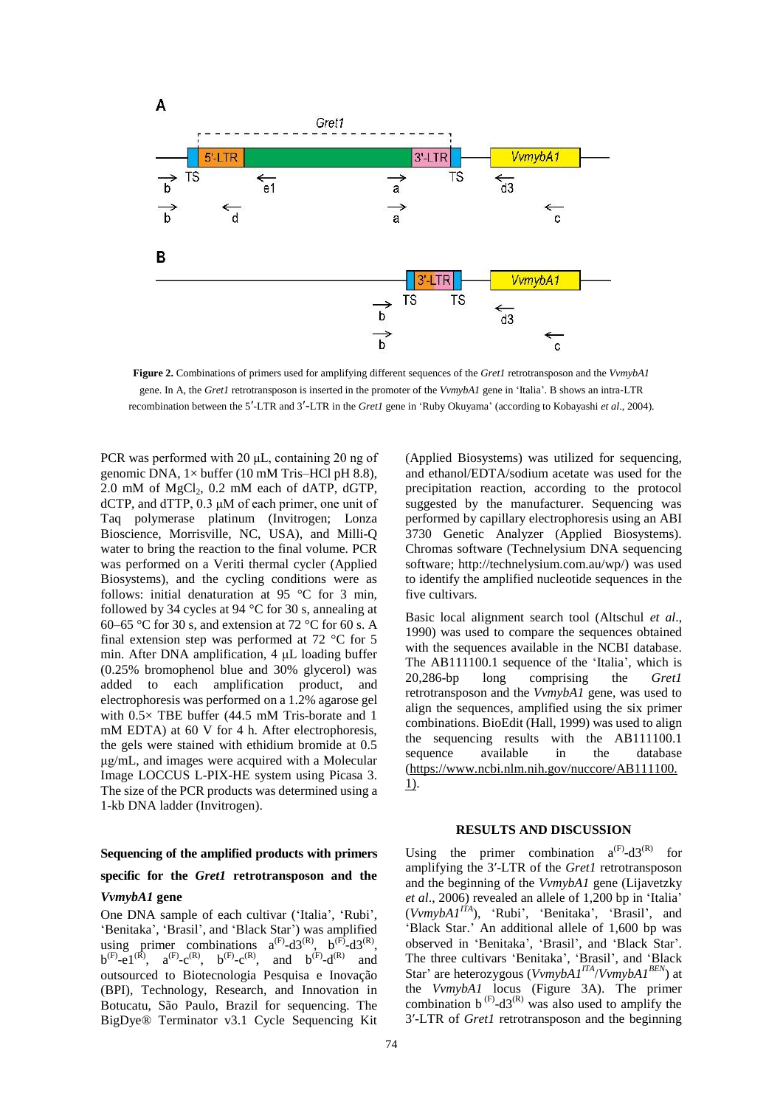

**Figure 2.** Combinations of primers used for amplifying different sequences of the *Gret1* retrotransposon and the *VvmybA1* gene. In A, the *Gret1* retrotransposon is inserted in the promoter of the *VvmybA1* gene in 'Italia'. B shows an intra-LTR recombination between the 5′-LTR and 3′-LTR in the *Gret1* gene in 'Ruby Okuyama' (according to Kobayashi *et al*., 2004).

PCR was performed with 20 μL, containing 20 ng of genomic DNA,  $1 \times$  buffer (10 mM Tris–HCl pH 8.8), 2.0 mM of  $MgCl<sub>2</sub>$ , 0.2 mM each of dATP, dGTP, dCTP, and dTTP, 0.3 μM of each primer, one unit of Taq polymerase platinum (Invitrogen; Lonza Bioscience, Morrisville, NC, USA), and Milli-Q water to bring the reaction to the final volume. PCR was performed on a Veriti thermal cycler (Applied Biosystems), and the cycling conditions were as follows: initial denaturation at 95 °C for 3 min, followed by 34 cycles at 94 °C for 30 s, annealing at 60–65 °C for 30 s, and extension at 72 °C for 60 s. A final extension step was performed at 72 °C for 5 min. After DNA amplification, 4 μL loading buffer (0.25% bromophenol blue and 30% glycerol) was added to each amplification product, and electrophoresis was performed on a 1.2% agarose gel with  $0.5 \times$  TBE buffer (44.5 mM Tris-borate and 1 mM EDTA) at 60 V for 4 h. After electrophoresis, the gels were stained with ethidium bromide at 0.5 μg/mL, and images were acquired with a Molecular Image LOCCUS L-PIX-HE system using Picasa 3. The size of the PCR products was determined using a 1-kb DNA ladder (Invitrogen).

## **Sequencing of the amplified products with primers specific for the** *Gret1* **retrotransposon and the**

### *VvmybA1* **gene**

One DNA sample of each cultivar ('Italia', 'Rubi', 'Benitaka', 'Brasil', and 'Black Star') was amplified using primer combinations  $a^{(F)}$ -d3<sup>(R)</sup>,  $b^{(F)}$ -d3<sup>(R)</sup>,  $b^{(F)}$  $-e^{[(R)}, a^{(F)}-c^{(R)}, b^{(F)}-c^{(R)},$  and  $b^{(F)}-d^{(R)}$  and outsourced to Biotecnologia Pesquisa e Inovação (BPI), Technology, Research, and Innovation in Botucatu, São Paulo, Brazil for sequencing. The BigDye® Terminator v3.1 Cycle Sequencing Kit

(Applied Biosystems) was utilized for sequencing, and ethanol/EDTA/sodium acetate was used for the precipitation reaction, according to the protocol suggested by the manufacturer. Sequencing was performed by capillary electrophoresis using an ABI 3730 Genetic Analyzer (Applied Biosystems). Chromas software (Technelysium DNA sequencing software; http://technelysium.com.au/wp/) was used to identify the amplified nucleotide sequences in the five cultivars.

Basic local alignment search tool (Altschul *et al*., 1990) was used to compare the sequences obtained with the sequences available in the NCBI database. The AB111100.1 sequence of the 'Italia', which is 20,286-bp long comprising the *Gret1* retrotransposon and the *VvmybA1* gene, was used to align the sequences, amplified using the six primer combinations. BioEdit (Hall, 1999) was used to align the sequencing results with the AB111100.1 sequence available in the database [\(https://www.ncbi.nlm.nih.gov/nuccore/AB111100.](https://www.ncbi.nlm.nih.gov/nuccore/AB111100.1) [1\)](https://www.ncbi.nlm.nih.gov/nuccore/AB111100.1).

#### **RESULTS AND DISCUSSION**

Using the primer combination  $a^{(F)} - d3^{(R)}$  for amplifying the 3′-LTR of the *Gret1* retrotransposon and the beginning of the *VvmybA1* gene (Lijavetzky *et al*., 2006) revealed an allele of 1,200 bp in 'Italia' (*VvmybA1ITA*), 'Rubi', 'Benitaka', 'Brasil', and 'Black Star.' An additional allele of 1,600 bp was observed in 'Benitaka', 'Brasil', and 'Black Star'. The three cultivars 'Benitaka', 'Brasil', and 'Black Star' are heterozygous (*VvmybA1ITA*/*VvmybA1BEN*) at the *VvmybA1* locus (Figure 3A). The primer combination  $b^{(F)}$ -d3<sup>(R)</sup> was also used to amplify the 3′-LTR of *Gret1* retrotransposon and the beginning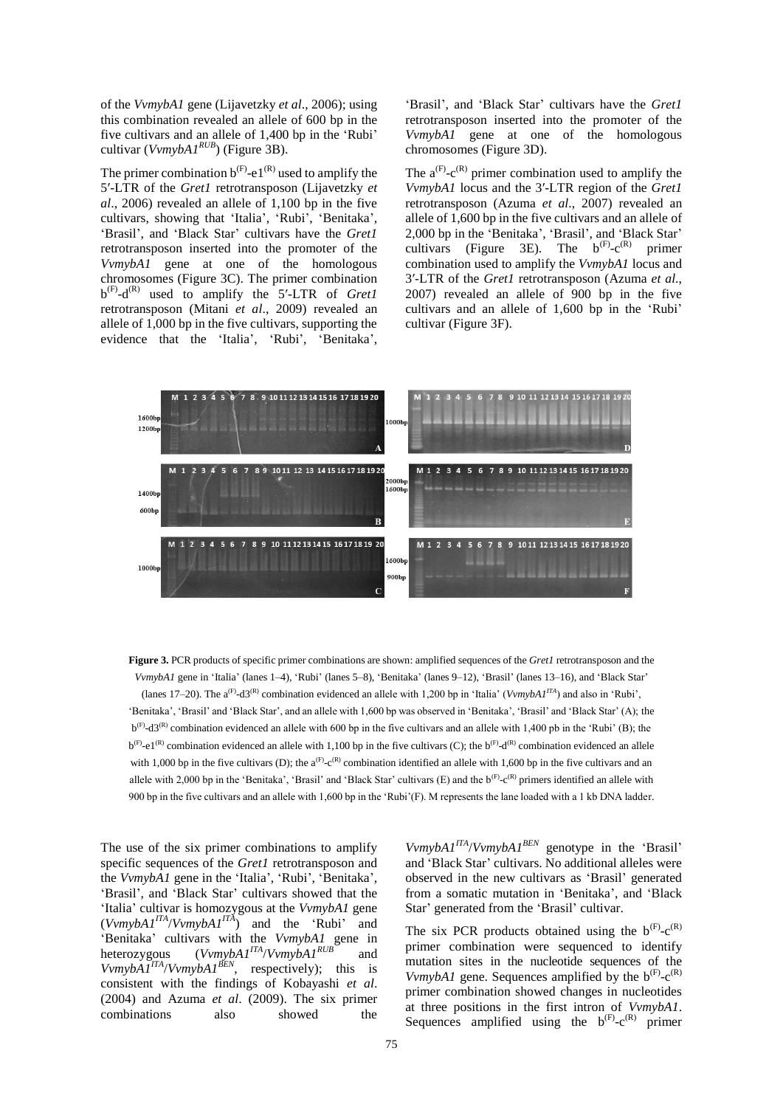of the *VvmybA1* gene (Lijavetzky *et al*., 2006); using this combination revealed an allele of 600 bp in the five cultivars and an allele of 1,400 bp in the 'Rubi' cultivar (*VvmybA1RUB*) (Figure 3B).

The primer combination  $b^{(F)}$ -e1<sup>(R)</sup> used to amplify the 5′-LTR of the *Gret1* retrotransposon (Lijavetzky *et al*., 2006) revealed an allele of 1,100 bp in the five cultivars, showing that 'Italia', 'Rubi', 'Benitaka', 'Brasil', and 'Black Star' cultivars have the *Gret1* retrotransposon inserted into the promoter of the *VvmybA1* gene at one of the homologous chromosomes (Figure 3C). The primer combination  $b^{(F)}$ -d<sup>(R)</sup> used to amplify the 5'-LTR of *Gret1* retrotransposon (Mitani *et al*., 2009) revealed an allele of 1,000 bp in the five cultivars, supporting the evidence that the 'Italia', 'Rubi', 'Benitaka',

'Brasil', and 'Black Star' cultivars have the *Gret1* retrotransposon inserted into the promoter of the *VvmybA1* gene at one of the homologous chromosomes (Figure 3D).

The  $a^{(F)}-c^{(R)}$  primer combination used to amplify the *VvmybA1* locus and the 3′-LTR region of the *Gret1* retrotransposon (Azuma *et al*., 2007) revealed an allele of 1,600 bp in the five cultivars and an allele of 2,000 bp in the 'Benitaka', 'Brasil', and 'Black Star' cultivars (Figure 3E). The  $b^{(F)}-c^{(R)}$  primer combination used to amplify the *VvmybA1* locus and 3′-LTR of the *Gret1* retrotransposon (Azuma *et al*., 2007) revealed an allele of 900 bp in the five cultivars and an allele of 1,600 bp in the 'Rubi' cultivar (Figure 3F).



**Figure 3.** PCR products of specific primer combinations are shown: amplified sequences of the *Gret1* retrotransposon and the *VvmybA1* gene in 'Italia' (lanes 1–4), 'Rubi' (lanes 5–8), 'Benitaka' (lanes 9–12), 'Brasil' (lanes 13–16), and 'Black Star' (lanes 17–20). The  $a^{(F)}$ -d3<sup>(R)</sup> combination evidenced an allele with 1,200 bp in 'Italia' (*VvmybA1<sup>ITA</sup>*) and also in 'Rubi', 'Benitaka', 'Brasil' and 'Black Star', and an allele with 1,600 bp was observed in 'Benitaka', 'Brasil' and 'Black Star' (A); the  $b^{(F)}$ -d3<sup>(R)</sup> combination evidenced an allele with 600 bp in the five cultivars and an allele with 1,400 pb in the 'Rubi' (B); the  $b^{(F)}$ -e1<sup>(R)</sup> combination evidenced an allele with 1,100 bp in the five cultivars (C); the  $b^{(F)}$ -d<sup>(R)</sup> combination evidenced an allele with 1,000 bp in the five cultivars (D); the  $a^{(F)} - c^{(R)}$  combination identified an allele with 1,600 bp in the five cultivars and an allele with 2,000 bp in the 'Benitaka', 'Brasil' and 'Black Star' cultivars  $(E)$  and the  $b^{(F)}-c^{(R)}$  primers identified an allele with 900 bp in the five cultivars and an allele with 1,600 bp in the 'Rubi'(F). M represents the lane loaded with a 1 kb DNA ladder.

The use of the six primer combinations to amplify specific sequences of the *Gret1* retrotransposon and the *VvmybA1* gene in the 'Italia', 'Rubi', 'Benitaka', 'Brasil', and 'Black Star' cultivars showed that the 'Italia' cultivar is homozygous at the *VvmybA1* gene  $(VvmybA1<sup>ITA</sup>/VvmybA1<sup>ITA</sup>)$  and the 'Rubi' and 'Benitaka' cultivars with the *VvmybA1* gene in heterozygous (*VvmybA1ITA*/*VvmybA1RUB* and  $VvmybAJ<sup>ITA</sup>/VvmybAJ<sup>BEN</sup>$ , respectively); this is consistent with the findings of Kobayashi *et al*. (2004) and Azuma *et al*. (2009). The six primer combinations also showed the

*VvmybA1<sup>ITA</sup>/VvmybA1*<sup>*BEN*</sup> genotype in the 'Brasil'</sup> and 'Black Star' cultivars. No additional alleles were observed in the new cultivars as 'Brasil' generated from a somatic mutation in 'Benitaka', and 'Black Star' generated from the 'Brasil' cultivar.

The six PCR products obtained using the  $b^{(F)}-c^{(R)}$ primer combination were sequenced to identify mutation sites in the nucleotide sequences of the *VvmybA1* gene. Sequences amplified by the  $b^{(F)}-c^{(R)}$ primer combination showed changes in nucleotides at three positions in the first intron of *VvmybA1*. Sequences amplified using the  $b^{(F)}-c^{(R)}$  primer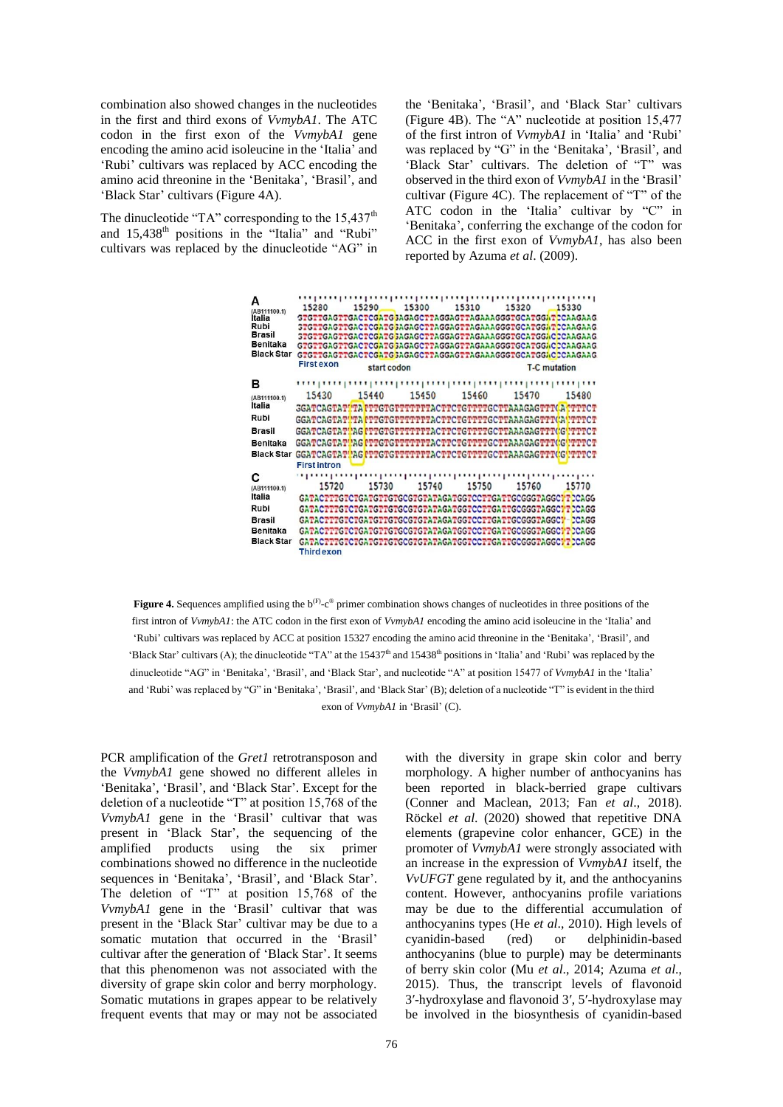combination also showed changes in the nucleotides in the first and third exons of *VvmybA1*. The ATC codon in the first exon of the *VvmybA1* gene encoding the amino acid isoleucine in the 'Italia' and 'Rubi' cultivars was replaced by ACC encoding the amino acid threonine in the 'Benitaka', 'Brasil', and 'Black Star' cultivars (Figure 4A).

The dinucleotide "TA" corresponding to the  $15.437<sup>th</sup>$ and 15,438<sup>th</sup> positions in the "Italia" and "Rubi" cultivars was replaced by the dinucleotide "AG" in the 'Benitaka', 'Brasil', and 'Black Star' cultivars (Figure 4B). The "A" nucleotide at position 15,477 of the first intron of *VvmybA1* in 'Italia' and 'Rubi' was replaced by "G" in the 'Benitaka', 'Brasil', and 'Black Star' cultivars. The deletion of "T" was observed in the third exon of *VvmybA1* in the 'Brasil' cultivar (Figure 4C). The replacement of "T" of the ATC codon in the 'Italia' cultivar by "C" in 'Benitaka', conferring the exchange of the codon for ACC in the first exon of *VvmybA1*, has also been reported by Azuma *et al*. (2009).



**Figure 4.** Sequences amplified using the  $b^{(F)}-c^{\circledast}$  primer combination shows changes of nucleotides in three positions of the first intron of *VvmybA1*: the ATC codon in the first exon of *VvmybA1* encoding the amino acid isoleucine in the 'Italia' and 'Rubi' cultivars was replaced by ACC at position 15327 encoding the amino acid threonine in the 'Benitaka', 'Brasil', and 'Black Star' cultivars (A); the dinucleotide "TA" at the 15437<sup>th</sup> and 15438<sup>th</sup> positions in 'Italia' and 'Rubi' was replaced by the dinucleotide "AG" in 'Benitaka', 'Brasil', and 'Black Star', and nucleotide "A" at position 15477 of *VvmybA1* in the 'Italia' and 'Rubi' was replaced by "G" in 'Benitaka', 'Brasil', and 'Black Star' (B); deletion of a nucleotide "T" is evident in the third exon of *VvmybA1* in 'Brasil' (C).

PCR amplification of the *Gret1* retrotransposon and the *VvmybA1* gene showed no different alleles in 'Benitaka', 'Brasil', and 'Black Star'. Except for the deletion of a nucleotide "T" at position 15,768 of the *VvmybA1* gene in the 'Brasil' cultivar that was present in 'Black Star', the sequencing of the amplified products using the six primer combinations showed no difference in the nucleotide sequences in 'Benitaka', 'Brasil', and 'Black Star'. The deletion of "T" at position 15,768 of the *VvmybA1* gene in the 'Brasil' cultivar that was present in the 'Black Star' cultivar may be due to a somatic mutation that occurred in the 'Brasil' cultivar after the generation of 'Black Star'. It seems that this phenomenon was not associated with the diversity of grape skin color and berry morphology. Somatic mutations in grapes appear to be relatively frequent events that may or may not be associated with the diversity in grape skin color and berry morphology. A higher number of anthocyanins has been reported in black-berried grape cultivars (Conner and Maclean, 2013; Fan *et al*., 2018). Röckel *et al*. (2020) showed that repetitive DNA elements (grapevine color enhancer, GCE) in the promoter of *VvmybA1* were strongly associated with an increase in the expression of *VvmybA1* itself, the *VvUFGT* gene regulated by it, and the anthocyanins content. However, anthocyanins profile variations may be due to the differential accumulation of anthocyanins types (He *et al*., 2010). High levels of cyanidin-based (red) or delphinidin-based anthocyanins (blue to purple) may be determinants of berry skin color (Mu *et al*., 2014; Azuma *et al*., 2015). Thus, the transcript levels of flavonoid 3′-hydroxylase and flavonoid 3′, 5′-hydroxylase may be involved in the biosynthesis of cyanidin-based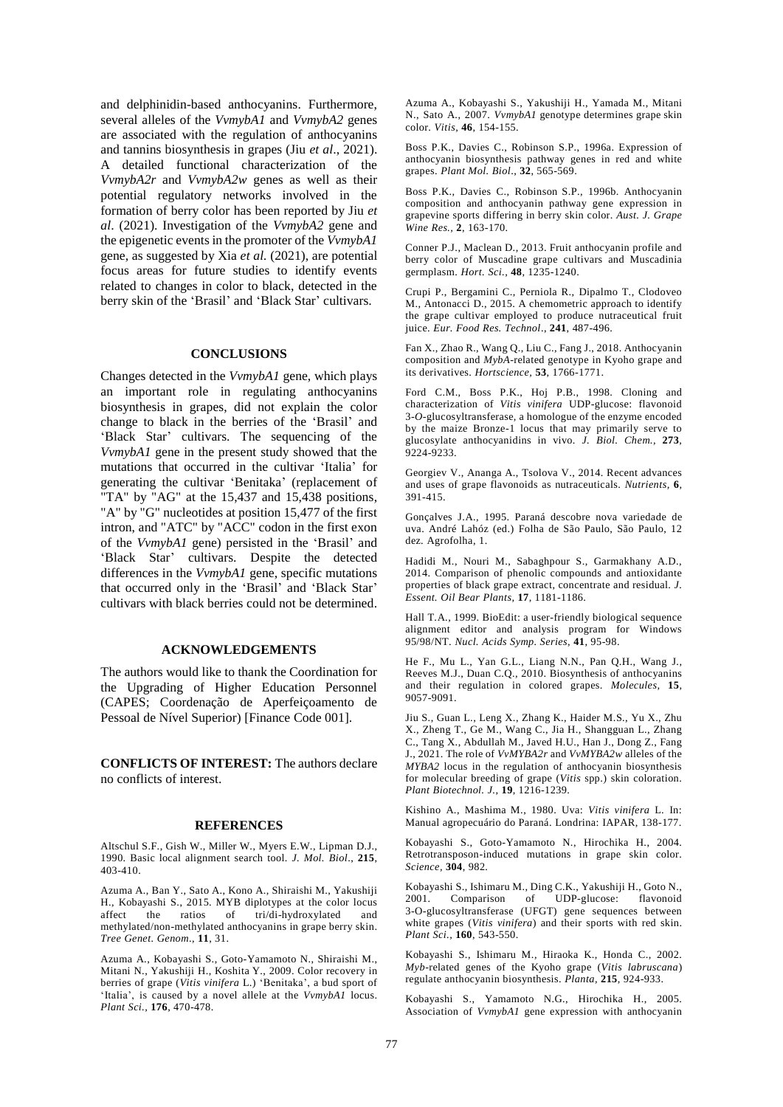and delphinidin-based anthocyanins. Furthermore, several alleles of the *VvmybA1* and *VvmybA2* genes are associated with the regulation of anthocyanins and tannins biosynthesis in grapes (Jiu *et al*., 2021). A detailed functional characterization of the *VvmybA2r* and *VvmybA2w* genes as well as their potential regulatory networks involved in the formation of berry color has been reported by Jiu *et al*. (2021). Investigation of the *VvmybA2* gene and the epigenetic events in the promoter of the *VvmybA1* gene, as suggested by Xia *et al.* (2021), are potential focus areas for future studies to identify events related to changes in color to black, detected in the berry skin of the 'Brasil' and 'Black Star' cultivars.

### **CONCLUSIONS**

Changes detected in the *VvmybA1* gene, which plays an important role in regulating anthocyanins biosynthesis in grapes, did not explain the color change to black in the berries of the 'Brasil' and 'Black Star' cultivars. The sequencing of the *VvmybA1* gene in the present study showed that the mutations that occurred in the cultivar 'Italia' for generating the cultivar 'Benitaka' (replacement of "TA" by "AG" at the 15,437 and 15,438 positions, "A" by "G" nucleotides at position 15,477 of the first intron, and "ATC" by "ACC" codon in the first exon of the *VvmybA1* gene) persisted in the 'Brasil' and 'Black Star' cultivars. Despite the detected differences in the *VvmybA1* gene, specific mutations that occurred only in the 'Brasil' and 'Black Star' cultivars with black berries could not be determined.

#### **ACKNOWLEDGEMENTS**

The authors would like to thank the Coordination for the Upgrading of Higher Education Personnel (CAPES; Coordenação de Aperfeiçoamento de Pessoal de Nível Superior) [Finance Code 001].

**CONFLICTS OF INTEREST:** The authors declare no conflicts of interest.

#### **REFERENCES**

Altschul S.F., Gish W., Miller W., Myers E.W., Lipman D.J., 1990. Basic local alignment search tool. *J. Mol. Biol*., **215**, 403-410.

Azuma A., Ban Y., Sato A., Kono A., Shiraishi M., Yakushiji H., Kobayashi S., 2015. MYB diplotypes at the color locus affect the ratios of tri/di-hydroxylated and methylated/non-methylated anthocyanins in grape berry skin. *Tree Genet. Genom*., **11**, 31.

Azuma A., Kobayashi S., Goto-Yamamoto N., Shiraishi M., Mitani N., Yakushiji H., Koshita Y., 2009. Color recovery in berries of grape (*Vitis vinifera* L.) 'Benitaka', a bud sport of 'Italia', is caused by a novel allele at the *VvmybA1* locus. *Plant Sci.,* **176**, 470-478.

Azuma A., Kobayashi S., Yakushiji H., Yamada M., Mitani N., Sato A., 2007. *VvmybA1* genotype determines grape skin color. *Vitis,* **46**, 154-155.

Boss P.K., Davies C., Robinson S.P., 1996a. Expression of anthocyanin biosynthesis pathway genes in red and white grapes. *Plant Mol. Biol*., **32**, 565-569.

Boss P.K., Davies C., Robinson S.P., 1996b. Anthocyanin composition and anthocyanin pathway gene expression in grapevine sports differing in berry skin color. *Aust. J. Grape Wine Res.,* **2**, 163-170.

Conner P.J., Maclean D., 2013. Fruit anthocyanin profile and berry color of Muscadine grape cultivars and Muscadinia germplasm. *[Hort.](https://d.docs.live.net/175982fa29902ee6/Documentos/Danuza/Doutorado/manuscrito%202/Ciencia%20e%20Técnica%20Vitivinicola/DECISION/Hort.%20Sci) Sci.,* **48**, 1235-1240.

Crupi P., Bergamini C., Perniola R., Dipalmo T., Clodoveo M., Antonacci D., 2015. A chemometric approach to identify the grape cultivar employed to produce nutraceutical fruit juice. *Eur. Food Res. Technol*., **241**, 487-496.

Fan X., Zhao R., Wang Q., Liu C., Fang J., 2018. Anthocyanin composition and *MybA*-related genotype in Kyoho grape and its derivatives. *Hortscience,* **53**, 1766-1771.

Ford C.M., Boss P.K., Hoj P.B., 1998. Cloning and characterization of *Vitis vinifera* UDP-glucose: flavonoid 3-*O*-glucosyltransferase, a homologue of the enzyme encoded by the maize Bronze-1 locus that may primarily serve to glucosylate anthocyanidins in vivo. *J. Biol. Chem.,* **273**, 9224-9233.

Georgiev V., Ananga A., Tsolova V., 2014. Recent advances and uses of grape flavonoids as nutraceuticals. *Nutrients,* **6**, 391-415.

Gonçalves J.A., 1995. Paraná descobre nova variedade de uva. André Lahóz (ed.) Folha de São Paulo, São Paulo, 12 dez. Agrofolha, 1.

Hadidi M., Nouri M., Sabaghpour S., Garmakhany A.D., 2014. Comparison of phenolic compounds and antioxidante properties of black grape extract, concentrate and residual. *J. Essent. Oil Bear Plants,* **17**, 1181-1186.

Hall T.A., 1999. BioEdit: a user-friendly biological sequence alignment editor and analysis program for Windows 95/98/NT. *Nucl. Acids Symp. Series,* **41**, 95-98.

He F., Mu L., Yan G.L., Liang N.N., Pan Q.H., Wang J., Reeves M.J., Duan C.Q., 2010. Biosynthesis of anthocyanins and their regulation in colored grapes. *Molecules,* **15**, 9057-9091.

Jiu S., Guan L., Leng X., Zhang K., Haider M.S., Yu X., Zhu X., Zheng T., Ge M., Wang C., Jia H., Shangguan L., Zhang C., Tang X., Abdullah M., Javed H.U., Han J., Dong Z., Fang J., 2021. The role of *VvMYBA2r* and *VvMYBA2w* alleles of the *MYBA2* locus in the regulation of anthocyanin biosynthesis for molecular breeding of grape (*Vitis* spp.) skin coloration. *Plant Biotechnol. J.,* **19**, 1216-1239.

Kishino A., Mashima M., 1980. Uva: *Vitis vinifera* L. In: Manual agropecuário do Paraná. Londrina: IAPAR, 138-177.

Kobayashi S., Goto-Yamamoto N., Hirochika H., 2004. Retrotransposon-induced mutations in grape skin color. *Science,* **304**, 982.

Kobayashi S., Ishimaru M., Ding C.K., Yakushiji H., Goto N., 2001. Comparison of UDP-glucose: flavonoid 3-O-glucosyltransferase (UFGT) gene sequences between white grapes (*Vitis vinifera*) and their sports with red skin. *Plant Sci.,* **160**, 543-550.

Kobayashi S., Ishimaru M., Hiraoka K., Honda C., 2002. *Myb*-related genes of the Kyoho grape (*Vitis labruscana*) regulate anthocyanin biosynthesis. *Planta,* **215**, 924-933.

Kobayashi S., Yamamoto N.G., Hirochika H., 2005. Association of *VvmybA1* gene expression with anthocyanin